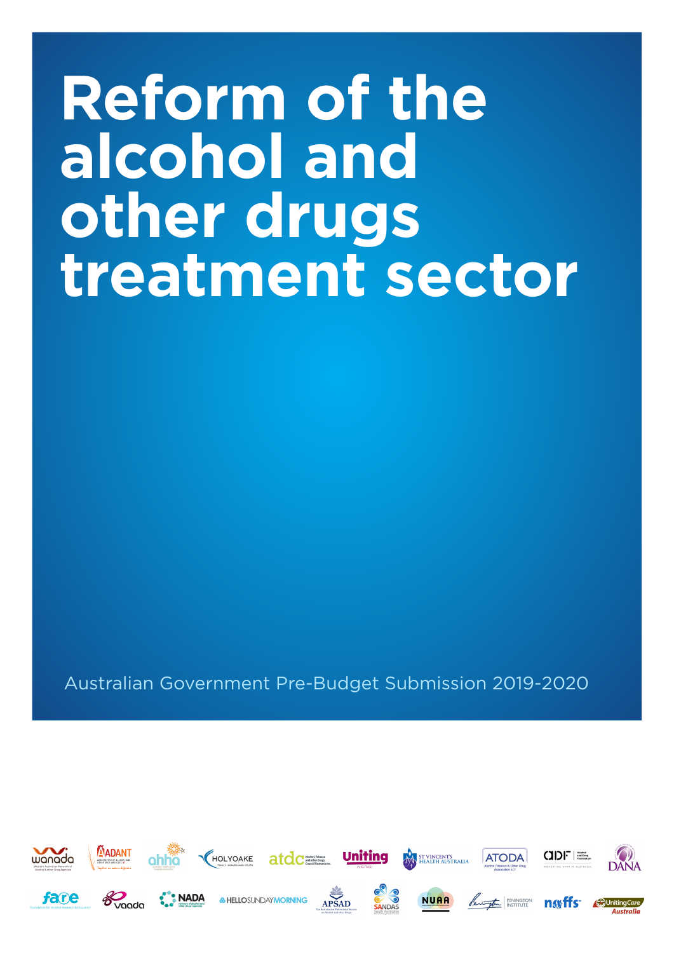# **Reform of the alcohol and other drugs treatment sector**

Australian Government Pre-Budget Submission 2019-2020

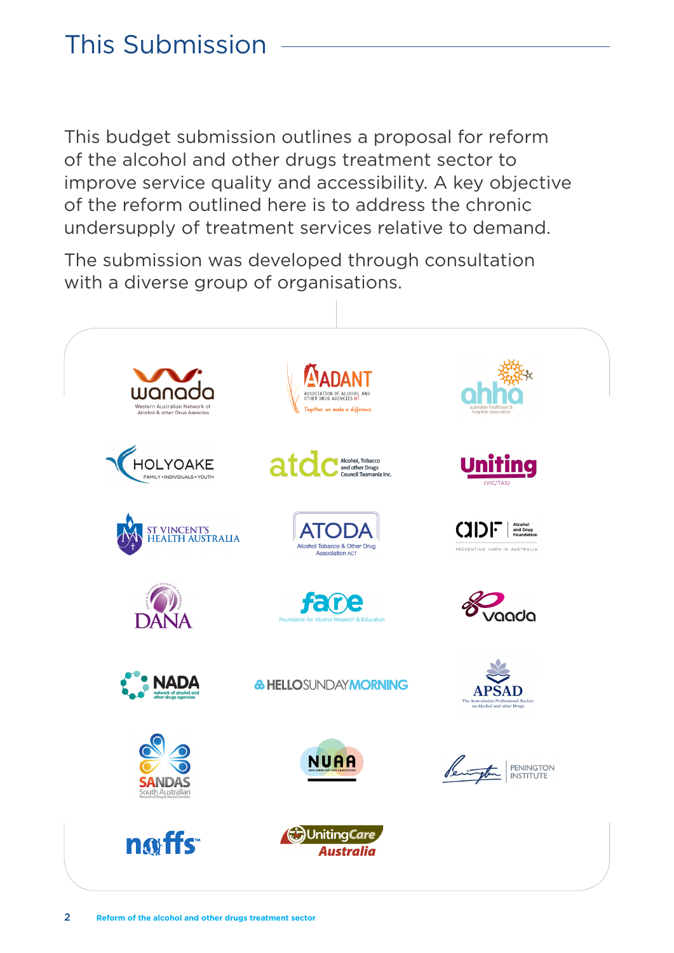# This Submission

This budget submission outlines a proposal for reform of the alcohol and other drugs treatment sector to improve service quality and accessibility. A key objective of the reform outlined here is to address the chronic undersupply of treatment services relative to demand.

The submission was developed through consultation with a diverse group of organisations.

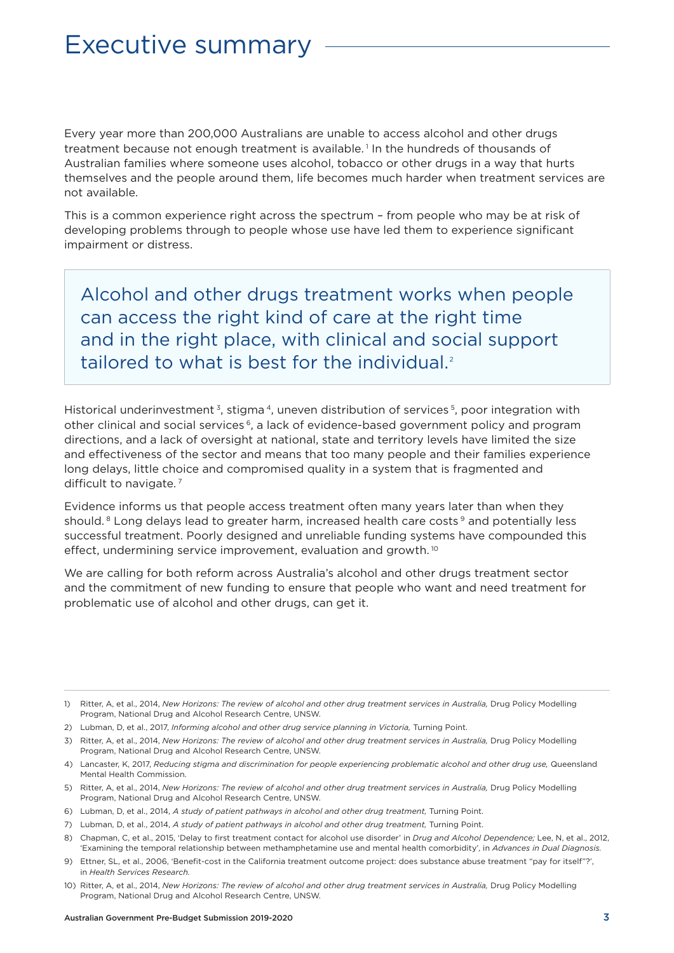### Executive summary

Every year more than 200,000 Australians are unable to access alcohol and other drugs treatment because not enough treatment is available. 1 In the hundreds of thousands of Australian families where someone uses alcohol, tobacco or other drugs in a way that hurts themselves and the people around them, life becomes much harder when treatment services are not available.

This is a common experience right across the spectrum – from people who may be at risk of developing problems through to people whose use have led them to experience significant impairment or distress.

Alcohol and other drugs treatment works when people can access the right kind of care at the right time and in the right place, with clinical and social support tailored to what is best for the individual.<sup>2</sup>

Historical underinvestment<sup>3</sup>, stigma<sup>4</sup>, uneven distribution of services<sup>5</sup>, poor integration with other clinical and social services 6, a lack of evidence-based government policy and program directions, and a lack of oversight at national, state and territory levels have limited the size and effectiveness of the sector and means that too many people and their families experience long delays, little choice and compromised quality in a system that is fragmented and difficult to navigate.<sup>7</sup>

Evidence informs us that people access treatment often many years later than when they should.<sup>8</sup> Long delays lead to greater harm, increased health care costs<sup>9</sup> and potentially less successful treatment. Poorly designed and unreliable funding systems have compounded this effect, undermining service improvement, evaluation and growth.<sup>10</sup>

We are calling for both reform across Australia's alcohol and other drugs treatment sector and the commitment of new funding to ensure that people who want and need treatment for problematic use of alcohol and other drugs, can get it.

- 4) Lancaster, K, 2017, *Reducing stigma and discrimination for people experiencing problematic alcohol and other drug use,* Queensland Mental Health Commission.
- 5) Ritter, A, et al., 2014, *New Horizons: The review of alcohol and other drug treatment services in Australia,* Drug Policy Modelling Program, National Drug and Alcohol Research Centre, UNSW.
- 6) Lubman, D, et al., 2014, *A study of patient pathways in alcohol and other drug treatment,* Turning Point.
- 7) Lubman, D, et al., 2014, *A study of patient pathways in alcohol and other drug treatment,* Turning Point.

<sup>1)</sup> Ritter, A, et al., 2014, *New Horizons: The review of alcohol and other drug treatment services in Australia,* Drug Policy Modelling Program, National Drug and Alcohol Research Centre, UNSW.

<sup>2)</sup> Lubman, D, et al., 2017, *Informing alcohol and other drug service planning in Victoria,* Turning Point.

<sup>3)</sup> Ritter, A, et al., 2014, *New Horizons: The review of alcohol and other drug treatment services in Australia,* Drug Policy Modelling Program, National Drug and Alcohol Research Centre, UNSW.

<sup>8)</sup> Chapman, C, et al., 2015, 'Delay to first treatment contact for alcohol use disorder' in *Drug and Alcohol Dependence;* Lee, N, et al., 2012, 'Examining the temporal relationship between methamphetamine use and mental health comorbidity', in *Advances in Dual Diagnosis.*

<sup>9)</sup> Ettner, SL, et al., 2006, 'Benefit-cost in the California treatment outcome project: does substance abuse treatment "pay for itself"?', in *Health Services Research.*

<sup>10)</sup> Ritter, A, et al., 2014, *New Horizons: The review of alcohol and other drug treatment services in Australia,* Drug Policy Modelling Program, National Drug and Alcohol Research Centre, UNSW.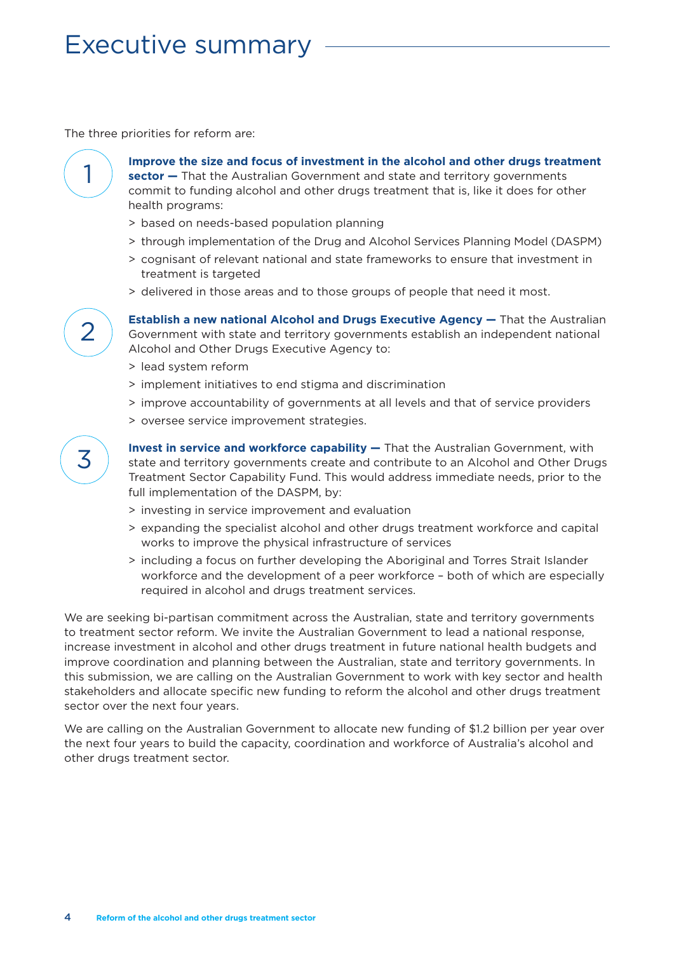## Executive summary

The three priorities for reform are:



**Improve the size and focus of investment in the alcohol and other drugs treatment sector —** That the Australian Government and state and territory governments commit to funding alcohol and other drugs treatment that is, like it does for other health programs:

- > based on needs-based population planning
- > through implementation of the Drug and Alcohol Services Planning Model (DASPM)
- > cognisant of relevant national and state frameworks to ensure that investment in treatment is targeted
- > delivered in those areas and to those groups of people that need it most.

**Establish a new national Alcohol and Drugs Executive Agency —** That the Australian Government with state and territory governments establish an independent national Alcohol and Other Drugs Executive Agency to:

- > lead system reform
- > implement initiatives to end stigma and discrimination
- > improve accountability of governments at all levels and that of service providers
- > oversee service improvement strategies.

 $\overline{\phantom{a}}$ 

**Invest in service and workforce capability —** That the Australian Government, with state and territory governments create and contribute to an Alcohol and Other Drugs Treatment Sector Capability Fund. This would address immediate needs, prior to the full implementation of the DASPM, by:

- > investing in service improvement and evaluation
- > expanding the specialist alcohol and other drugs treatment workforce and capital works to improve the physical infrastructure of services
- > including a focus on further developing the Aboriginal and Torres Strait Islander workforce and the development of a peer workforce – both of which are especially required in alcohol and drugs treatment services.

We are seeking bi-partisan commitment across the Australian, state and territory governments to treatment sector reform. We invite the Australian Government to lead a national response, increase investment in alcohol and other drugs treatment in future national health budgets and improve coordination and planning between the Australian, state and territory governments. In this submission, we are calling on the Australian Government to work with key sector and health stakeholders and allocate specific new funding to reform the alcohol and other drugs treatment sector over the next four years.

We are calling on the Australian Government to allocate new funding of \$1.2 billion per year over the next four years to build the capacity, coordination and workforce of Australia's alcohol and other drugs treatment sector.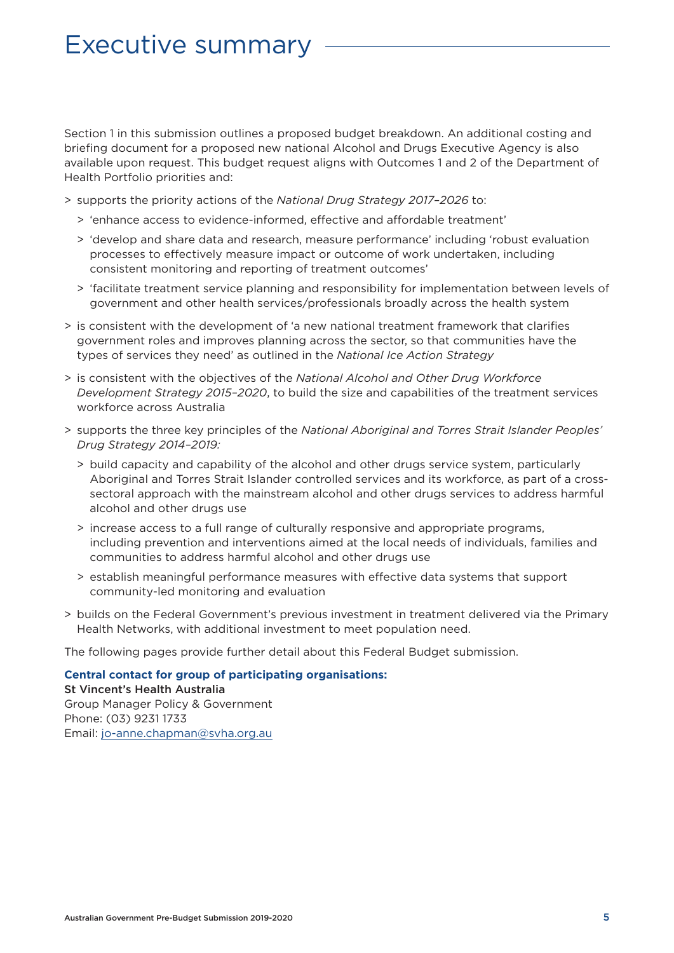### Executive summary

Section 1 in this submission outlines a proposed budget breakdown. An additional costing and briefing document for a proposed new national Alcohol and Drugs Executive Agency is also available upon request. This budget request aligns with Outcomes 1 and 2 of the Department of Health Portfolio priorities and:

- > supports the priority actions of the *National Drug Strategy 2017–2026* to:
	- > 'enhance access to evidence-informed, effective and affordable treatment'
	- > 'develop and share data and research, measure performance' including 'robust evaluation processes to effectively measure impact or outcome of work undertaken, including consistent monitoring and reporting of treatment outcomes'
	- > 'facilitate treatment service planning and responsibility for implementation between levels of government and other health services/professionals broadly across the health system
- > is consistent with the development of 'a new national treatment framework that clarifies government roles and improves planning across the sector, so that communities have the types of services they need' as outlined in the *National Ice Action Strategy*
- > is consistent with the objectives of the *National Alcohol and Other Drug Workforce Development Strategy 2015–2020*, to build the size and capabilities of the treatment services workforce across Australia
- > supports the three key principles of the *National Aboriginal and Torres Strait Islander Peoples' Drug Strategy 2014–2019:*
	- > build capacity and capability of the alcohol and other drugs service system, particularly Aboriginal and Torres Strait Islander controlled services and its workforce, as part of a crosssectoral approach with the mainstream alcohol and other drugs services to address harmful alcohol and other drugs use
	- > increase access to a full range of culturally responsive and appropriate programs, including prevention and interventions aimed at the local needs of individuals, families and communities to address harmful alcohol and other drugs use
	- > establish meaningful performance measures with effective data systems that support community-led monitoring and evaluation
- > builds on the Federal Government's previous investment in treatment delivered via the Primary Health Networks, with additional investment to meet population need.

The following pages provide further detail about this Federal Budget submission.

#### **Central contact for group of participating organisations:**

St Vincent's Health Australia Group Manager Policy & Government Phone: (03) 9231 1733 Email: jo-anne.chapman@svha.org.au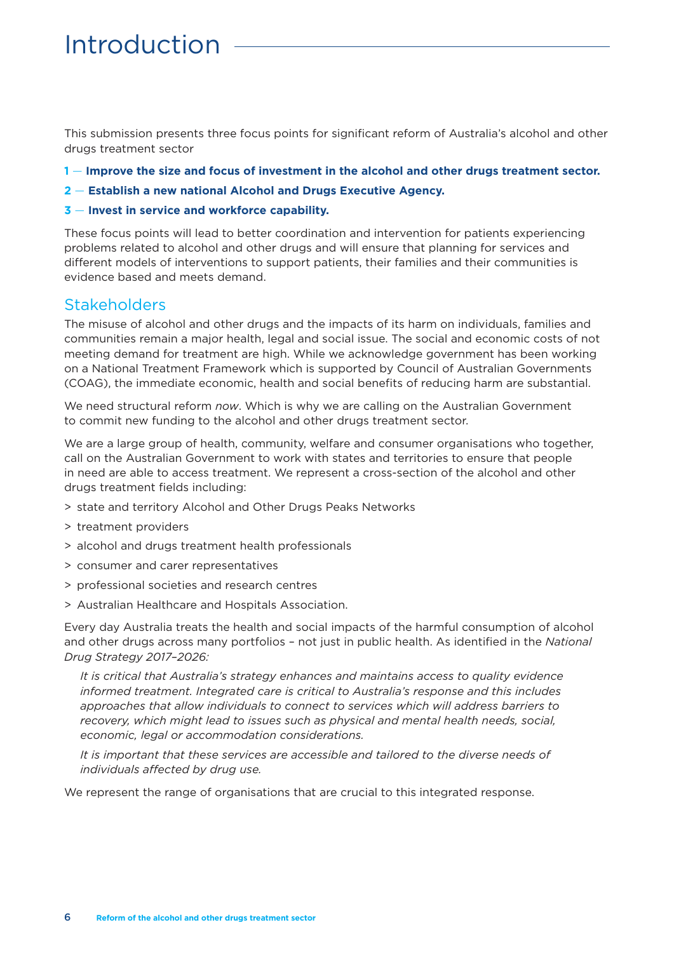# Introduction

This submission presents three focus points for significant reform of Australia's alcohol and other drugs treatment sector

- **1** — **Improve the size and focus of investment in the alcohol and other drugs treatment sector.**
- **2** — **Establish a new national Alcohol and Drugs Executive Agency.**
- **3** — **Invest in service and workforce capability.**

These focus points will lead to better coordination and intervention for patients experiencing problems related to alcohol and other drugs and will ensure that planning for services and different models of interventions to support patients, their families and their communities is evidence based and meets demand.

#### **Stakeholders**

The misuse of alcohol and other drugs and the impacts of its harm on individuals, families and communities remain a major health, legal and social issue. The social and economic costs of not meeting demand for treatment are high. While we acknowledge government has been working on a National Treatment Framework which is supported by Council of Australian Governments (COAG), the immediate economic, health and social benefits of reducing harm are substantial.

We need structural reform *now*. Which is why we are calling on the Australian Government to commit new funding to the alcohol and other drugs treatment sector.

We are a large group of health, community, welfare and consumer organisations who together, call on the Australian Government to work with states and territories to ensure that people in need are able to access treatment. We represent a cross-section of the alcohol and other drugs treatment fields including:

- > state and territory Alcohol and Other Drugs Peaks Networks
- > treatment providers
- > alcohol and drugs treatment health professionals
- > consumer and carer representatives
- > professional societies and research centres
- > Australian Healthcare and Hospitals Association.

Every day Australia treats the health and social impacts of the harmful consumption of alcohol and other drugs across many portfolios – not just in public health. As identified in the *National Drug Strategy 2017–2026:*

*It is critical that Australia's strategy enhances and maintains access to quality evidence informed treatment. Integrated care is critical to Australia's response and this includes approaches that allow individuals to connect to services which will address barriers to recovery, which might lead to issues such as physical and mental health needs, social, economic, legal or accommodation considerations.*

*It is important that these services are accessible and tailored to the diverse needs of individuals affected by drug use.*

We represent the range of organisations that are crucial to this integrated response.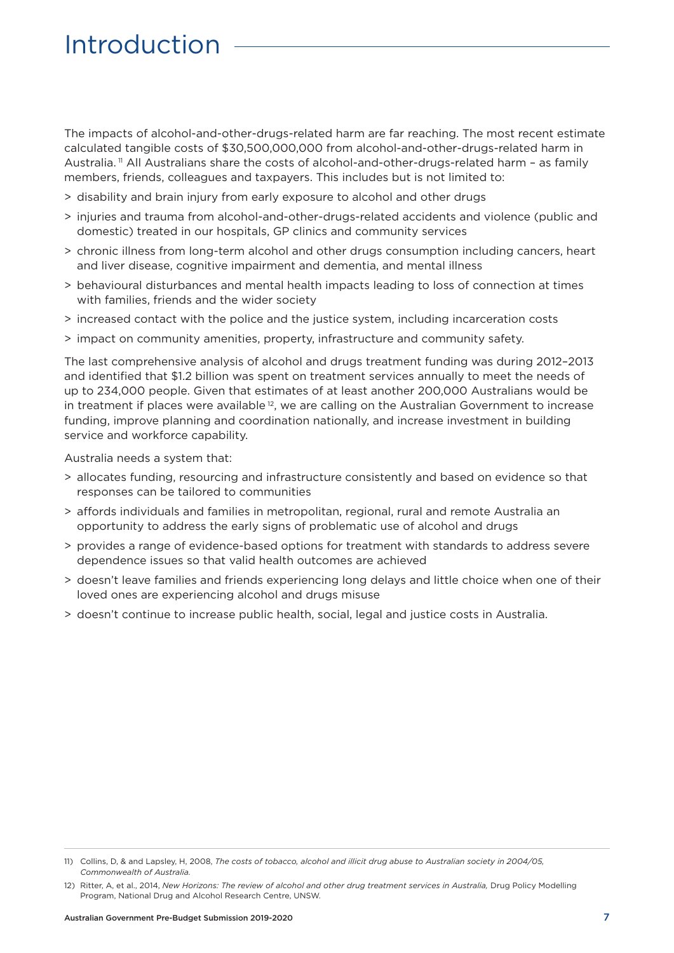# Introduction

The impacts of alcohol-and-other-drugs-related harm are far reaching. The most recent estimate calculated tangible costs of \$30,500,000,000 from alcohol-and-other-drugs-related harm in Australia. 11 All Australians share the costs of alcohol-and-other-drugs-related harm – as family members, friends, colleagues and taxpayers. This includes but is not limited to:

- > disability and brain injury from early exposure to alcohol and other drugs
- > injuries and trauma from alcohol-and-other-drugs-related accidents and violence (public and domestic) treated in our hospitals, GP clinics and community services
- > chronic illness from long-term alcohol and other drugs consumption including cancers, heart and liver disease, cognitive impairment and dementia, and mental illness
- > behavioural disturbances and mental health impacts leading to loss of connection at times with families, friends and the wider society
- > increased contact with the police and the justice system, including incarceration costs
- > impact on community amenities, property, infrastructure and community safety.

The last comprehensive analysis of alcohol and drugs treatment funding was during 2012–2013 and identified that \$1.2 billion was spent on treatment services annually to meet the needs of up to 234,000 people. Given that estimates of at least another 200,000 Australians would be in treatment if places were available<sup>12</sup>, we are calling on the Australian Government to increase funding, improve planning and coordination nationally, and increase investment in building service and workforce capability.

Australia needs a system that:

- > allocates funding, resourcing and infrastructure consistently and based on evidence so that responses can be tailored to communities
- > affords individuals and families in metropolitan, regional, rural and remote Australia an opportunity to address the early signs of problematic use of alcohol and drugs
- > provides a range of evidence-based options for treatment with standards to address severe dependence issues so that valid health outcomes are achieved
- > doesn't leave families and friends experiencing long delays and little choice when one of their loved ones are experiencing alcohol and drugs misuse
- > doesn't continue to increase public health, social, legal and justice costs in Australia.

<sup>11)</sup> Collins, D, & and Lapsley, H, 2008, *The costs of tobacco, alcohol and illicit drug abuse to Australian society in 2004/05, Commonwealth of Australia.*

<sup>12)</sup> Ritter, A, et al., 2014, *New Horizons: The review of alcohol and other drug treatment services in Australia,* Drug Policy Modelling Program, National Drug and Alcohol Research Centre, UNSW.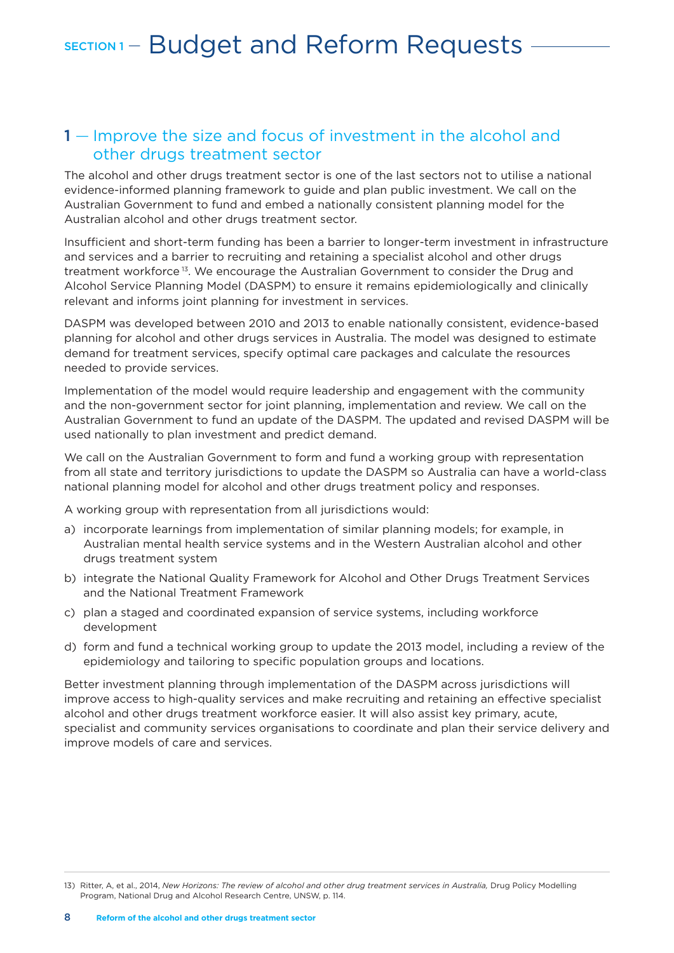### SECTION 1 - Budget and Reform Requests

#### 1 – Improve the size and focus of investment in the alcohol and other drugs treatment sector

The alcohol and other drugs treatment sector is one of the last sectors not to utilise a national evidence-informed planning framework to guide and plan public investment. We call on the Australian Government to fund and embed a nationally consistent planning model for the Australian alcohol and other drugs treatment sector.

Insufficient and short-term funding has been a barrier to longer-term investment in infrastructure and services and a barrier to recruiting and retaining a specialist alcohol and other drugs treatment workforce 13. We encourage the Australian Government to consider the Drug and Alcohol Service Planning Model (DASPM) to ensure it remains epidemiologically and clinically relevant and informs joint planning for investment in services.

DASPM was developed between 2010 and 2013 to enable nationally consistent, evidence-based planning for alcohol and other drugs services in Australia. The model was designed to estimate demand for treatment services, specify optimal care packages and calculate the resources needed to provide services.

Implementation of the model would require leadership and engagement with the community and the non-government sector for joint planning, implementation and review. We call on the Australian Government to fund an update of the DASPM. The updated and revised DASPM will be used nationally to plan investment and predict demand.

We call on the Australian Government to form and fund a working group with representation from all state and territory jurisdictions to update the DASPM so Australia can have a world-class national planning model for alcohol and other drugs treatment policy and responses.

A working group with representation from all jurisdictions would:

- a) incorporate learnings from implementation of similar planning models; for example, in Australian mental health service systems and in the Western Australian alcohol and other drugs treatment system
- b) integrate the National Quality Framework for Alcohol and Other Drugs Treatment Services and the National Treatment Framework
- c) plan a staged and coordinated expansion of service systems, including workforce development
- d) form and fund a technical working group to update the 2013 model, including a review of the epidemiology and tailoring to specific population groups and locations.

Better investment planning through implementation of the DASPM across jurisdictions will improve access to high-quality services and make recruiting and retaining an effective specialist alcohol and other drugs treatment workforce easier. It will also assist key primary, acute, specialist and community services organisations to coordinate and plan their service delivery and improve models of care and services.

<sup>13)</sup> Ritter, A, et al., 2014, *New Horizons: The review of alcohol and other drug treatment services in Australia,* Drug Policy Modelling Program, National Drug and Alcohol Research Centre, UNSW, p. 114.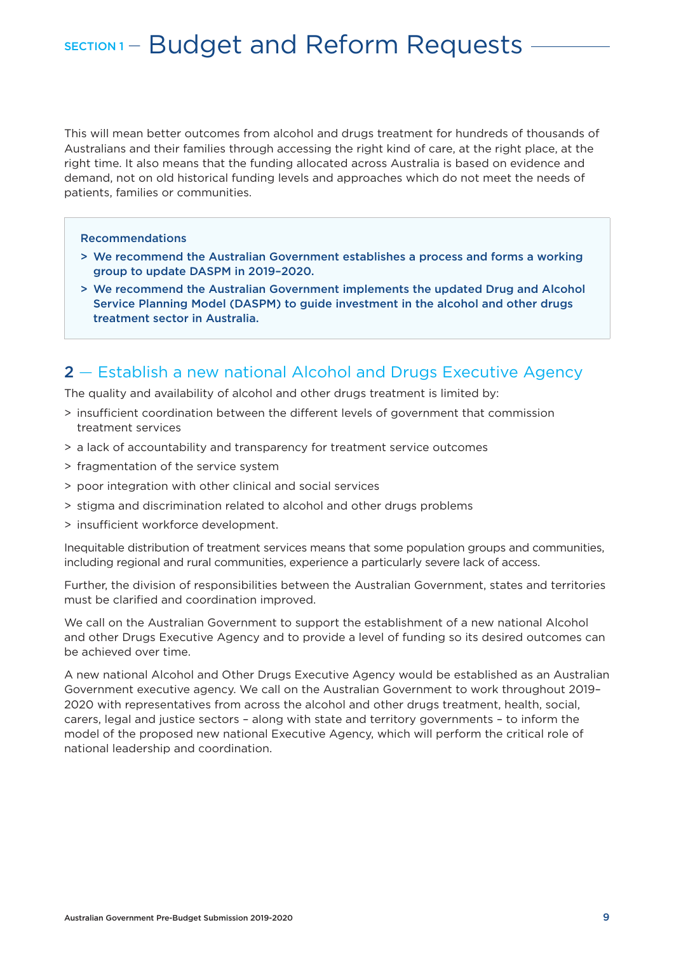#### SECTION 1 – Budget and Reform Requests

This will mean better outcomes from alcohol and drugs treatment for hundreds of thousands of Australians and their families through accessing the right kind of care, at the right place, at the right time. It also means that the funding allocated across Australia is based on evidence and demand, not on old historical funding levels and approaches which do not meet the needs of patients, families or communities.

#### Recommendations

- > We recommend the Australian Government establishes a process and forms a working group to update DASPM in 2019–2020.
- > We recommend the Australian Government implements the updated Drug and Alcohol Service Planning Model (DASPM) to guide investment in the alcohol and other drugs treatment sector in Australia.

#### 2 — Establish a new national Alcohol and Drugs Executive Agency

The quality and availability of alcohol and other drugs treatment is limited by:

- > insufficient coordination between the different levels of government that commission treatment services
- > a lack of accountability and transparency for treatment service outcomes
- > fragmentation of the service system
- > poor integration with other clinical and social services
- > stigma and discrimination related to alcohol and other drugs problems
- > insufficient workforce development.

Inequitable distribution of treatment services means that some population groups and communities, including regional and rural communities, experience a particularly severe lack of access.

Further, the division of responsibilities between the Australian Government, states and territories must be clarified and coordination improved.

We call on the Australian Government to support the establishment of a new national Alcohol and other Drugs Executive Agency and to provide a level of funding so its desired outcomes can be achieved over time.

A new national Alcohol and Other Drugs Executive Agency would be established as an Australian Government executive agency. We call on the Australian Government to work throughout 2019– 2020 with representatives from across the alcohol and other drugs treatment, health, social, carers, legal and justice sectors – along with state and territory governments – to inform the model of the proposed new national Executive Agency, which will perform the critical role of national leadership and coordination.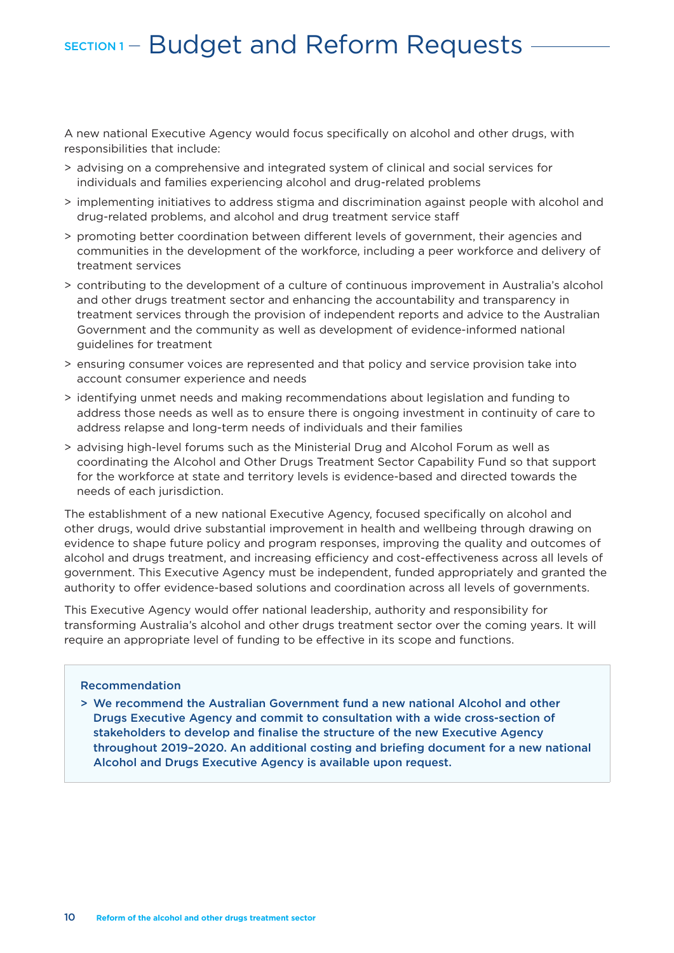#### SECTION 1 – Budget and Reform Requests

A new national Executive Agency would focus specifically on alcohol and other drugs, with responsibilities that include:

- > advising on a comprehensive and integrated system of clinical and social services for individuals and families experiencing alcohol and drug-related problems
- > implementing initiatives to address stigma and discrimination against people with alcohol and drug-related problems, and alcohol and drug treatment service staff
- > promoting better coordination between different levels of government, their agencies and communities in the development of the workforce, including a peer workforce and delivery of treatment services
- > contributing to the development of a culture of continuous improvement in Australia's alcohol and other drugs treatment sector and enhancing the accountability and transparency in treatment services through the provision of independent reports and advice to the Australian Government and the community as well as development of evidence-informed national guidelines for treatment
- > ensuring consumer voices are represented and that policy and service provision take into account consumer experience and needs
- > identifying unmet needs and making recommendations about legislation and funding to address those needs as well as to ensure there is ongoing investment in continuity of care to address relapse and long-term needs of individuals and their families
- > advising high-level forums such as the Ministerial Drug and Alcohol Forum as well as coordinating the Alcohol and Other Drugs Treatment Sector Capability Fund so that support for the workforce at state and territory levels is evidence-based and directed towards the needs of each jurisdiction.

The establishment of a new national Executive Agency, focused specifically on alcohol and other drugs, would drive substantial improvement in health and wellbeing through drawing on evidence to shape future policy and program responses, improving the quality and outcomes of alcohol and drugs treatment, and increasing efficiency and cost-effectiveness across all levels of government. This Executive Agency must be independent, funded appropriately and granted the authority to offer evidence-based solutions and coordination across all levels of governments.

This Executive Agency would offer national leadership, authority and responsibility for transforming Australia's alcohol and other drugs treatment sector over the coming years. It will require an appropriate level of funding to be effective in its scope and functions.

#### Recommendation

> We recommend the Australian Government fund a new national Alcohol and other Drugs Executive Agency and commit to consultation with a wide cross-section of stakeholders to develop and finalise the structure of the new Executive Agency throughout 2019–2020. An additional costing and briefing document for a new national Alcohol and Drugs Executive Agency is available upon request.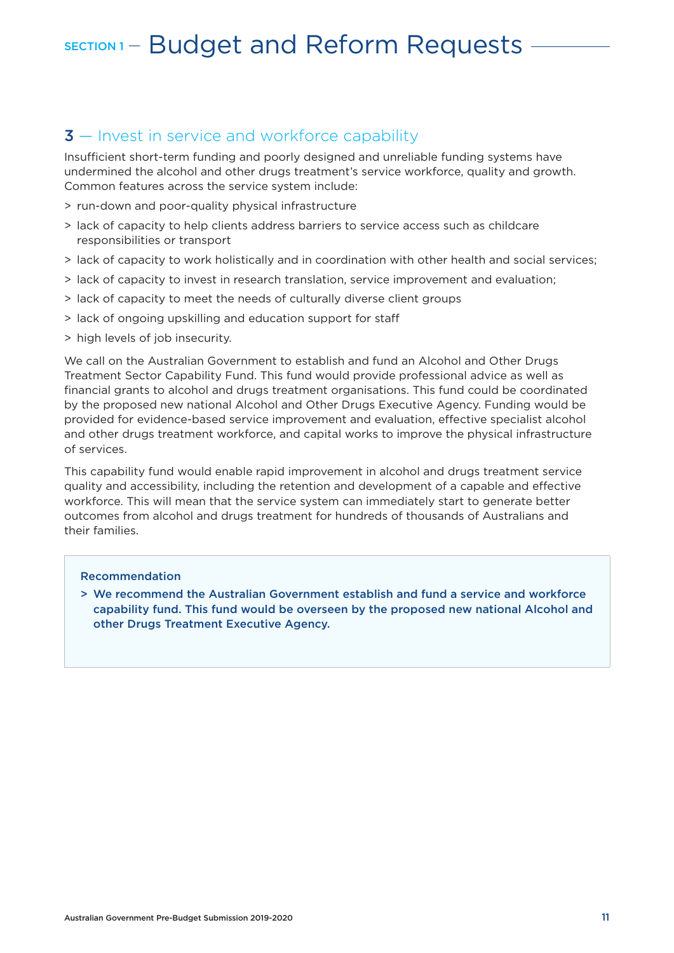### SECTION 1 – Budget and Reform Requests

#### **3** – Invest in service and workforce capability

Insufficient short-term funding and poorly designed and unreliable funding systems have undermined the alcohol and other drugs treatment's service workforce, quality and growth. Common features across the service system include:

- > run-down and poor-quality physical infrastructure
- > lack of capacity to help clients address barriers to service access such as childcare responsibilities or transport
- > lack of capacity to work holistically and in coordination with other health and social services;
- > lack of capacity to invest in research translation, service improvement and evaluation;
- > lack of capacity to meet the needs of culturally diverse client groups
- > lack of ongoing upskilling and education support for staff
- > high levels of job insecurity.

We call on the Australian Government to establish and fund an Alcohol and Other Drugs Treatment Sector Capability Fund. This fund would provide professional advice as well as financial grants to alcohol and drugs treatment organisations. This fund could be coordinated by the proposed new national Alcohol and Other Drugs Executive Agency. Funding would be provided for evidence-based service improvement and evaluation, effective specialist alcohol and other drugs treatment workforce, and capital works to improve the physical infrastructure of services.

This capability fund would enable rapid improvement in alcohol and drugs treatment service quality and accessibility, including the retention and development of a capable and effective workforce. This will mean that the service system can immediately start to generate better outcomes from alcohol and drugs treatment for hundreds of thousands of Australians and their families.

#### Recommendation

> We recommend the Australian Government establish and fund a service and workforce capability fund. This fund would be overseen by the proposed new national Alcohol and other Drugs Treatment Executive Agency.